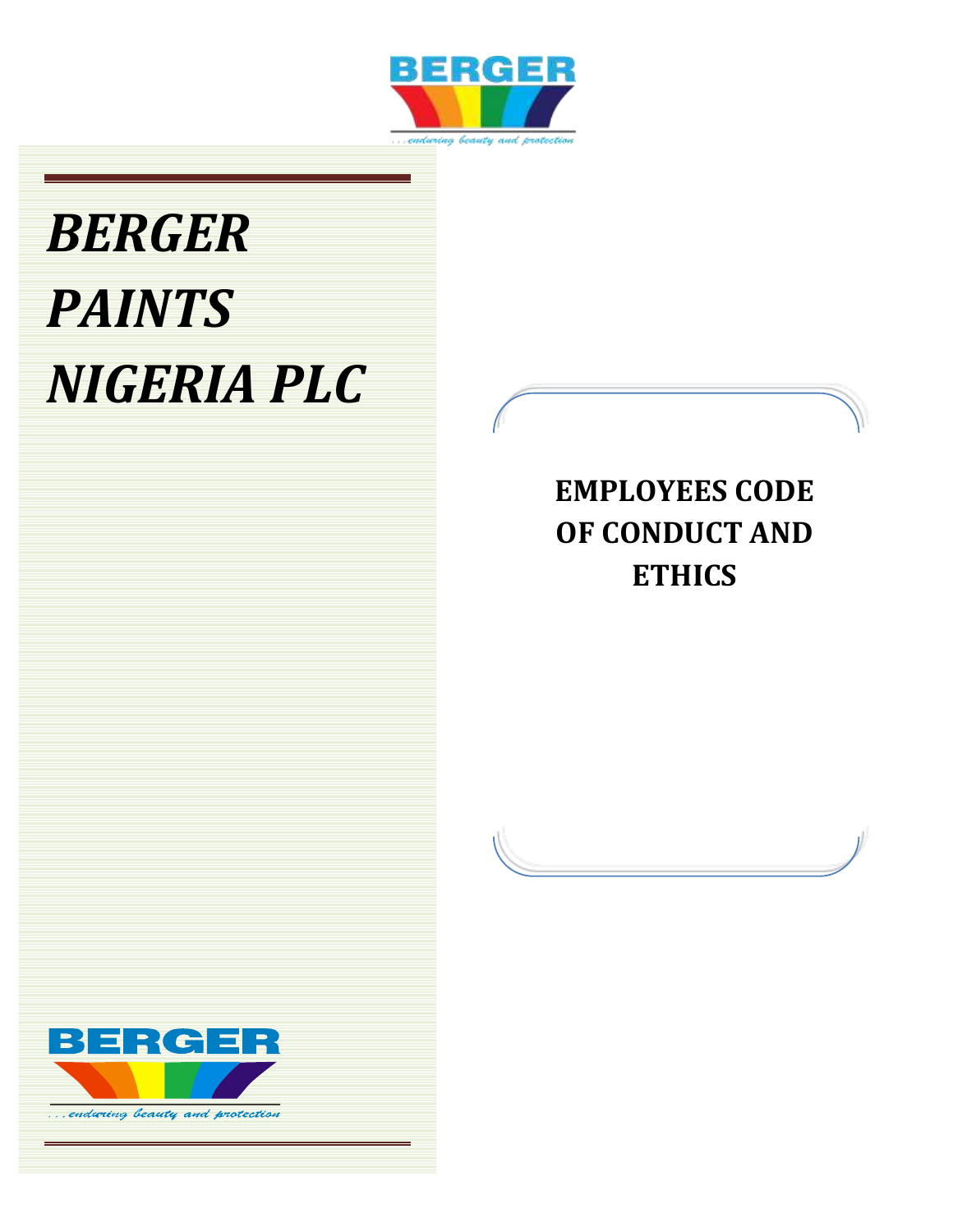

# *BERGER PAINTS NIGERIA PLC*

## **EMPLOYEES CODE OF CONDUCT AND ETHICS**

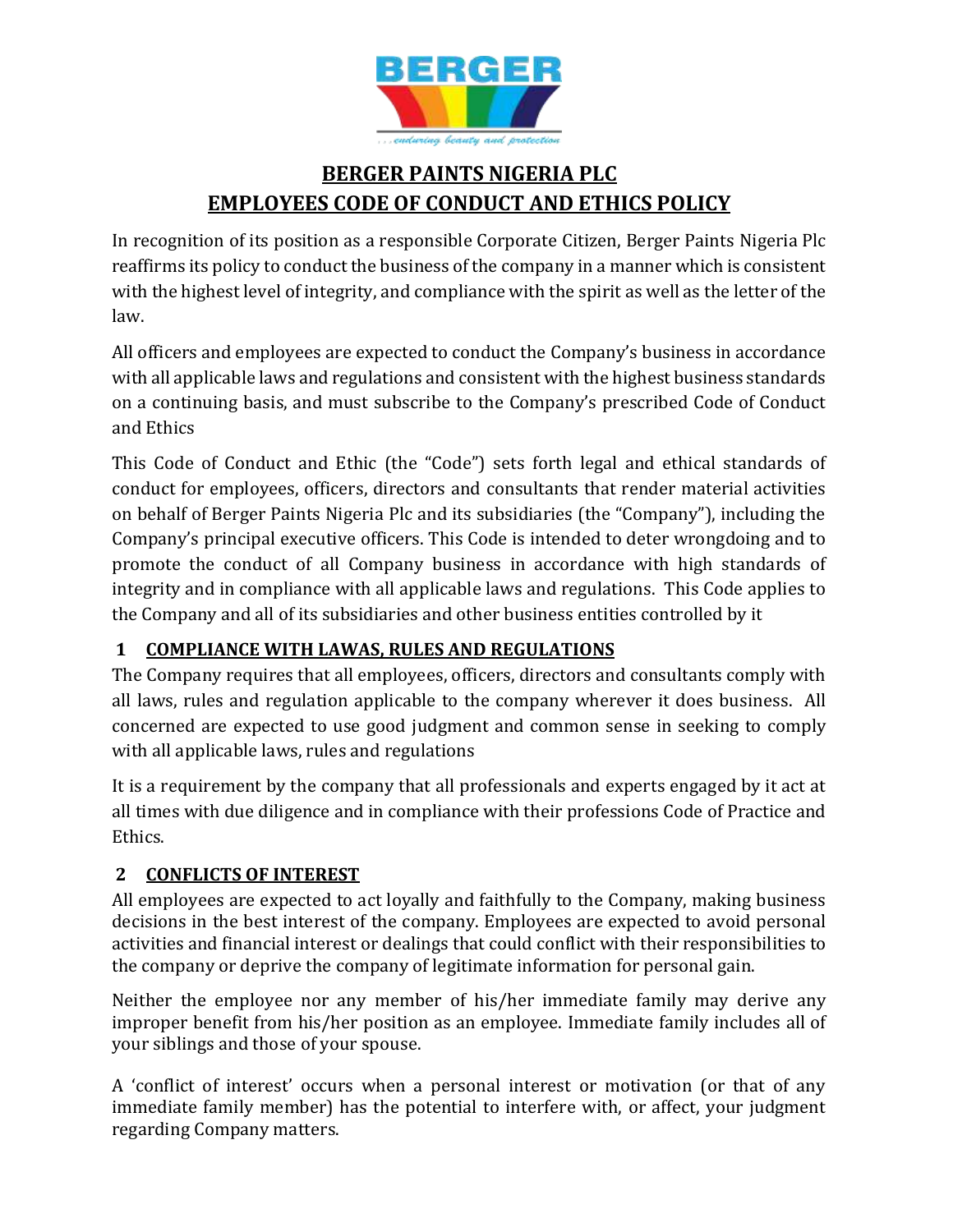

### **BERGER PAINTS NIGERIA PLC EMPLOYEES CODE OF CONDUCT AND ETHICS POLICY**

In recognition of its position as a responsible Corporate Citizen, Berger Paints Nigeria Plc reaffirms its policy to conduct the business of the company in a manner which is consistent with the highest level of integrity, and compliance with the spirit as well as the letter of the law.

All officers and employees are expected to conduct the Company's business in accordance with all applicable laws and regulations and consistent with the highest business standards on a continuing basis, and must subscribe to the Company's prescribed Code of Conduct and Ethics

This Code of Conduct and Ethic (the "Code") sets forth legal and ethical standards of conduct for employees, officers, directors and consultants that render material activities on behalf of Berger Paints Nigeria Plc and its subsidiaries (the "Company"), including the Company's principal executive officers. This Code is intended to deter wrongdoing and to promote the conduct of all Company business in accordance with high standards of integrity and in compliance with all applicable laws and regulations. This Code applies to the Company and all of its subsidiaries and other business entities controlled by it

#### **1 COMPLIANCE WITH LAWAS, RULES AND REGULATIONS**

The Company requires that all employees, officers, directors and consultants comply with all laws, rules and regulation applicable to the company wherever it does business. All concerned are expected to use good judgment and common sense in seeking to comply with all applicable laws, rules and regulations

It is a requirement by the company that all professionals and experts engaged by it act at all times with due diligence and in compliance with their professions Code of Practice and Ethics.

#### **2 CONFLICTS OF INTEREST**

All employees are expected to act loyally and faithfully to the Company, making business decisions in the best interest of the company. Employees are expected to avoid personal activities and financial interest or dealings that could conflict with their responsibilities to the company or deprive the company of legitimate information for personal gain.

Neither the employee nor any member of his/her immediate family may derive any improper benefit from his/her position as an employee. Immediate family includes all of your siblings and those of your spouse.

A 'conflict of interest' occurs when a personal interest or motivation (or that of any immediate family member) has the potential to interfere with, or affect, your judgment regarding Company matters.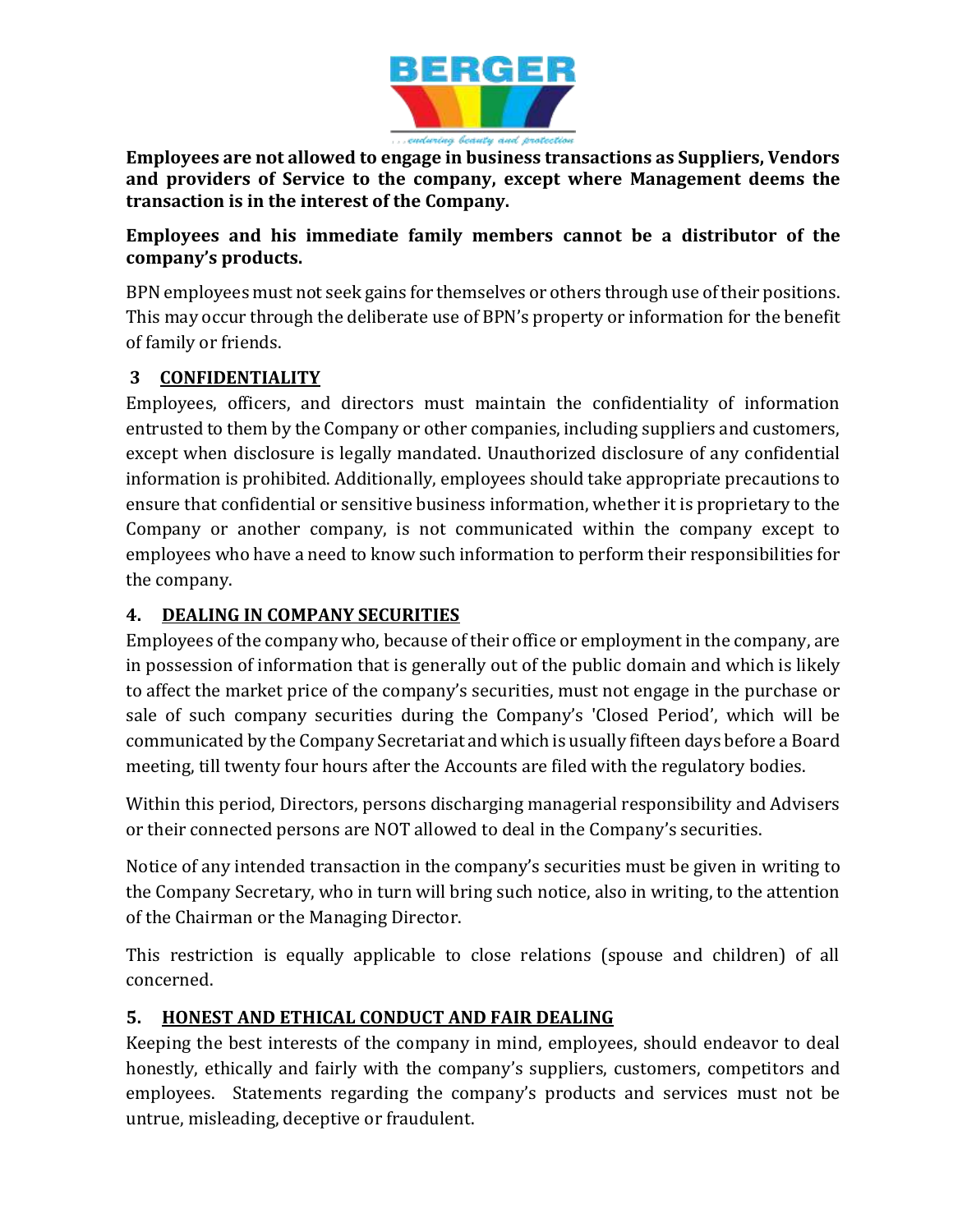

**Employees are not allowed to engage in business transactions as Suppliers, Vendors and providers of Service to the company, except where Management deems the transaction is in the interest of the Company.**

**Employees and his immediate family members cannot be a distributor of the company's products.**

BPN employees must not seek gains for themselves or others through use of their positions. This may occur through the deliberate use of BPN's property or information for the benefit of family or friends.

#### **3 CONFIDENTIALITY**

Employees, officers, and directors must maintain the confidentiality of information entrusted to them by the Company or other companies, including suppliers and customers, except when disclosure is legally mandated. Unauthorized disclosure of any confidential information is prohibited. Additionally, employees should take appropriate precautions to ensure that confidential or sensitive business information, whether it is proprietary to the Company or another company, is not communicated within the company except to employees who have a need to know such information to perform their responsibilities for the company.

#### **4. DEALING IN COMPANY SECURITIES**

Employees of the company who, because of their office or employment in the company, are in possession of information that is generally out of the public domain and which is likely to affect the market price of the company's securities, must not engage in the purchase or sale of such company securities during the Company's 'Closed Period', which will be communicated by the Company Secretariat and which is usually fifteen days before a Board meeting, till twenty four hours after the Accounts are filed with the regulatory bodies.

Within this period, Directors, persons discharging managerial responsibility and Advisers or their connected persons are NOT allowed to deal in the Company's securities.

Notice of any intended transaction in the company's securities must be given in writing to the Company Secretary, who in turn will bring such notice, also in writing, to the attention of the Chairman or the Managing Director.

This restriction is equally applicable to close relations (spouse and children) of all concerned.

#### **5. HONEST AND ETHICAL CONDUCT AND FAIR DEALING**

Keeping the best interests of the company in mind, employees, should endeavor to deal honestly, ethically and fairly with the company's suppliers, customers, competitors and employees. Statements regarding the company's products and services must not be untrue, misleading, deceptive or fraudulent.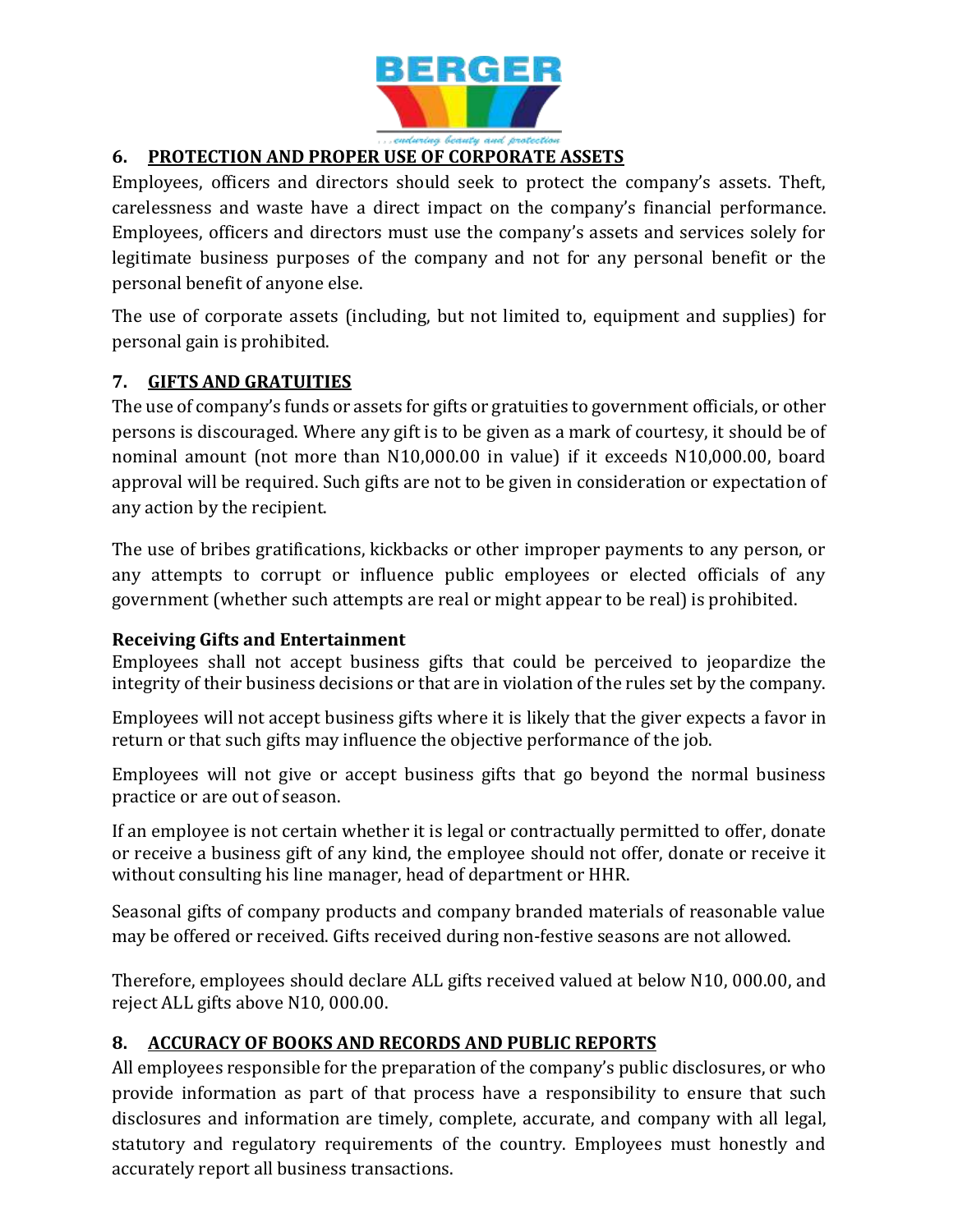

#### **6. PROTECTION AND PROPER USE OF CORPORATE ASSETS**

Employees, officers and directors should seek to protect the company's assets. Theft, carelessness and waste have a direct impact on the company's financial performance. Employees, officers and directors must use the company's assets and services solely for legitimate business purposes of the company and not for any personal benefit or the personal benefit of anyone else.

The use of corporate assets (including, but not limited to, equipment and supplies) for personal gain is prohibited.

#### **7. GIFTS AND GRATUITIES**

The use of company's funds or assets for gifts or gratuities to government officials, or other persons is discouraged. Where any gift is to be given as a mark of courtesy, it should be of nominal amount (not more than N10,000.00 in value) if it exceeds N10,000.00, board approval will be required. Such gifts are not to be given in consideration or expectation of any action by the recipient.

The use of bribes gratifications, kickbacks or other improper payments to any person, or any attempts to corrupt or influence public employees or elected officials of any government (whether such attempts are real or might appear to be real) is prohibited.

#### **Receiving Gifts and Entertainment**

Employees shall not accept business gifts that could be perceived to jeopardize the integrity of their business decisions or that are in violation of the rules set by the company.

Employees will not accept business gifts where it is likely that the giver expects a favor in return or that such gifts may influence the objective performance of the job.

Employees will not give or accept business gifts that go beyond the normal business practice or are out of season.

If an employee is not certain whether it is legal or contractually permitted to offer, donate or receive a business gift of any kind, the employee should not offer, donate or receive it without consulting his line manager, head of department or HHR.

Seasonal gifts of company products and company branded materials of reasonable value may be offered or received. Gifts received during non-festive seasons are not allowed.

Therefore, employees should declare ALL gifts received valued at below N10, 000.00, and reject ALL gifts above N10, 000.00.

#### **8. ACCURACY OF BOOKS AND RECORDS AND PUBLIC REPORTS**

All employees responsible for the preparation of the company's public disclosures, or who provide information as part of that process have a responsibility to ensure that such disclosures and information are timely, complete, accurate, and company with all legal, statutory and regulatory requirements of the country. Employees must honestly and accurately report all business transactions.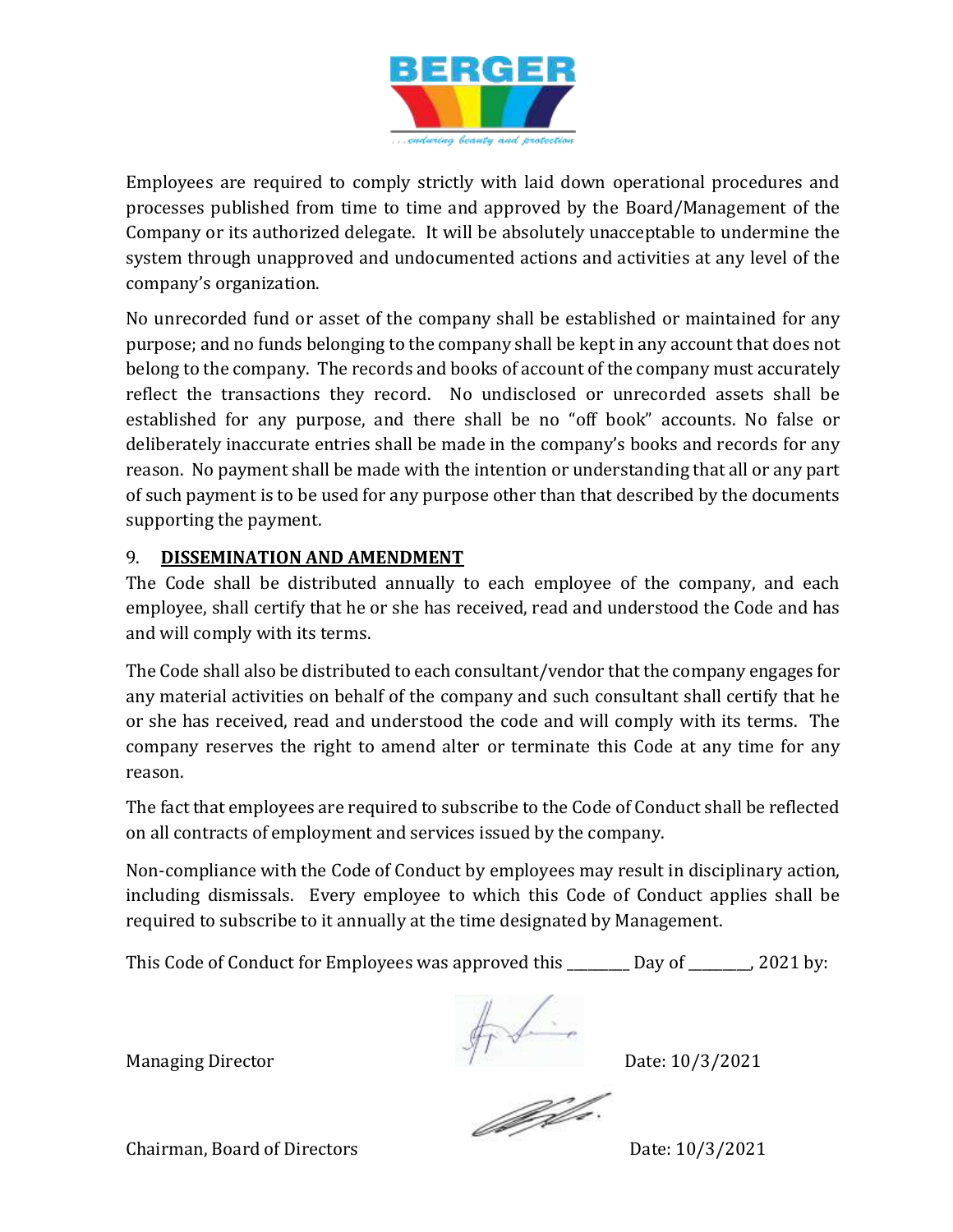

Employees are required to comply strictly with laid down operational procedures and processes published from time to time and approved by the Board/Management of the Company or its authorized delegate. It will be absolutely unacceptable to undermine the system through unapproved and undocumented actions and activities at any level of the company's organization.

No unrecorded fund or asset of the company shall be established or maintained for any purpose; and no funds belonging to the company shall be kept in any account that does not belong to the company. The records and books of account of the company must accurately reflect the transactions they record. No undisclosed or unrecorded assets shall be established for any purpose, and there shall be no "off book" accounts. No false or deliberately inaccurate entries shall be made in the company's books and records for any reason. No payment shall be made with the intention or understanding that all or any part of such payment is to be used for any purpose other than that described by the documents supporting the payment.

#### 9. **DISSEMINATION AND AMENDMENT**

The Code shall be distributed annually to each employee of the company, and each employee, shall certify that he or she has received, read and understood the Code and has and will comply with its terms.

The Code shall also be distributed to each consultant/vendor that the company engages for any material activities on behalf of the company and such consultant shall certify that he or she has received, read and understood the code and will comply with its terms. The company reserves the right to amend alter or terminate this Code at any time for any reason.

The fact that employees are required to subscribe to the Code of Conduct shall be reflected on all contracts of employment and services issued by the company.

Non-compliance with the Code of Conduct by employees may result in disciplinary action, including dismissals. Every employee to which this Code of Conduct applies shall be required to subscribe to it annually at the time designated by Management.

This Code of Conduct for Employees was approved this \_\_\_\_\_\_\_\_ Day of \_\_\_\_\_\_\_, 2021 by:

Managing Director **Date:** 10/3/2021

Jeffe.

Chairman, Board of Directors Date: 10/3/2021